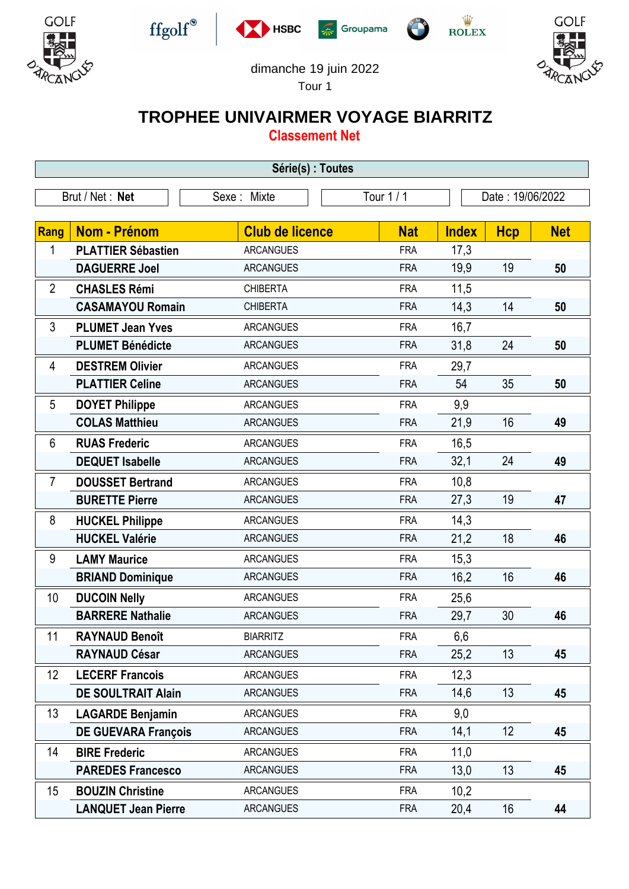











## dimanche 19 juin 2022

Tour 1

## **TROPHEE UNIVAIRMER VOYAGE BIARRITZ**

**Classement Net**

| Série(s) : Toutes |                            |                        |            |              |            |                  |  |
|-------------------|----------------------------|------------------------|------------|--------------|------------|------------------|--|
| Brut / Net: Net   |                            | Sexe: Mixte            | Tour 1 / 1 |              |            | Date: 19/06/2022 |  |
| <b>Rang</b>       | <b>Nom - Prénom</b>        | <b>Club de licence</b> | <b>Nat</b> | <b>Index</b> | <b>Hcp</b> | <b>Net</b>       |  |
| 1                 | <b>PLATTIER Sébastien</b>  | <b>ARCANGUES</b>       | <b>FRA</b> | 17,3         |            |                  |  |
|                   | <b>DAGUERRE Joel</b>       | <b>ARCANGUES</b>       | <b>FRA</b> | 19,9         | 19         | 50               |  |
| $\overline{2}$    | <b>CHASLES Rémi</b>        | <b>CHIBERTA</b>        | <b>FRA</b> | 11,5         |            |                  |  |
|                   | <b>CASAMAYOU Romain</b>    | <b>CHIBERTA</b>        | <b>FRA</b> | 14,3         | 14         | 50               |  |
| 3                 | <b>PLUMET Jean Yves</b>    | <b>ARCANGUES</b>       | <b>FRA</b> | 16,7         |            |                  |  |
|                   | <b>PLUMET Bénédicte</b>    | <b>ARCANGUES</b>       | <b>FRA</b> | 31,8         | 24         | 50               |  |
| 4                 | <b>DESTREM Olivier</b>     | <b>ARCANGUES</b>       | <b>FRA</b> | 29,7         |            |                  |  |
|                   | <b>PLATTIER Celine</b>     | <b>ARCANGUES</b>       | <b>FRA</b> | 54           | 35         | 50               |  |
| 5                 | <b>DOYET Philippe</b>      | <b>ARCANGUES</b>       | <b>FRA</b> | 9,9          |            |                  |  |
|                   | <b>COLAS Matthieu</b>      | <b>ARCANGUES</b>       | <b>FRA</b> | 21,9         | 16         | 49               |  |
| 6                 | <b>RUAS Frederic</b>       | <b>ARCANGUES</b>       | <b>FRA</b> | 16,5         |            |                  |  |
|                   | <b>DEQUET Isabelle</b>     | <b>ARCANGUES</b>       | <b>FRA</b> | 32,1         | 24         | 49               |  |
| 7                 | <b>DOUSSET Bertrand</b>    | <b>ARCANGUES</b>       | <b>FRA</b> | 10,8         |            |                  |  |
|                   | <b>BURETTE Pierre</b>      | <b>ARCANGUES</b>       | <b>FRA</b> | 27,3         | 19         | 47               |  |
| 8                 | <b>HUCKEL Philippe</b>     | <b>ARCANGUES</b>       | <b>FRA</b> | 14,3         |            |                  |  |
|                   | <b>HUCKEL Valérie</b>      | <b>ARCANGUES</b>       | <b>FRA</b> | 21,2         | 18         | 46               |  |
| 9                 | <b>LAMY Maurice</b>        | <b>ARCANGUES</b>       | <b>FRA</b> | 15,3         |            |                  |  |
|                   | <b>BRIAND Dominique</b>    | <b>ARCANGUES</b>       | <b>FRA</b> | 16,2         | 16         | 46               |  |
| 10                | <b>DUCOIN Nelly</b>        | <b>ARCANGUES</b>       | <b>FRA</b> | 25,6         |            |                  |  |
|                   | <b>BARRERE Nathalie</b>    | <b>ARCANGUES</b>       | <b>FRA</b> | 29,7         | 30         | 46               |  |
| 11                | <b>RAYNAUD Benoît</b>      | <b>BIARRITZ</b>        | <b>FRA</b> | 6,6          |            |                  |  |
|                   | <b>RAYNAUD César</b>       | <b>ARCANGUES</b>       | <b>FRA</b> | 25,2         | 13         | 45               |  |
| 12                | <b>LECERF Francois</b>     | <b>ARCANGUES</b>       | <b>FRA</b> | 12,3         |            |                  |  |
|                   | <b>DE SOULTRAIT Alain</b>  | <b>ARCANGUES</b>       | <b>FRA</b> | 14,6         | 13         | 45               |  |
| 13                | <b>LAGARDE Benjamin</b>    | <b>ARCANGUES</b>       | <b>FRA</b> | 9,0          |            |                  |  |
|                   | <b>DE GUEVARA François</b> | <b>ARCANGUES</b>       | <b>FRA</b> | 14,1         | 12         | 45               |  |
| 14                | <b>BIRE Frederic</b>       | <b>ARCANGUES</b>       | <b>FRA</b> | 11,0         |            |                  |  |
|                   | <b>PAREDES Francesco</b>   | <b>ARCANGUES</b>       | <b>FRA</b> | 13,0         | 13         | 45               |  |
| 15                | <b>BOUZIN Christine</b>    | <b>ARCANGUES</b>       | <b>FRA</b> | 10,2         |            |                  |  |
|                   | <b>LANQUET Jean Pierre</b> | <b>ARCANGUES</b>       | <b>FRA</b> | 20,4         | 16         | 44               |  |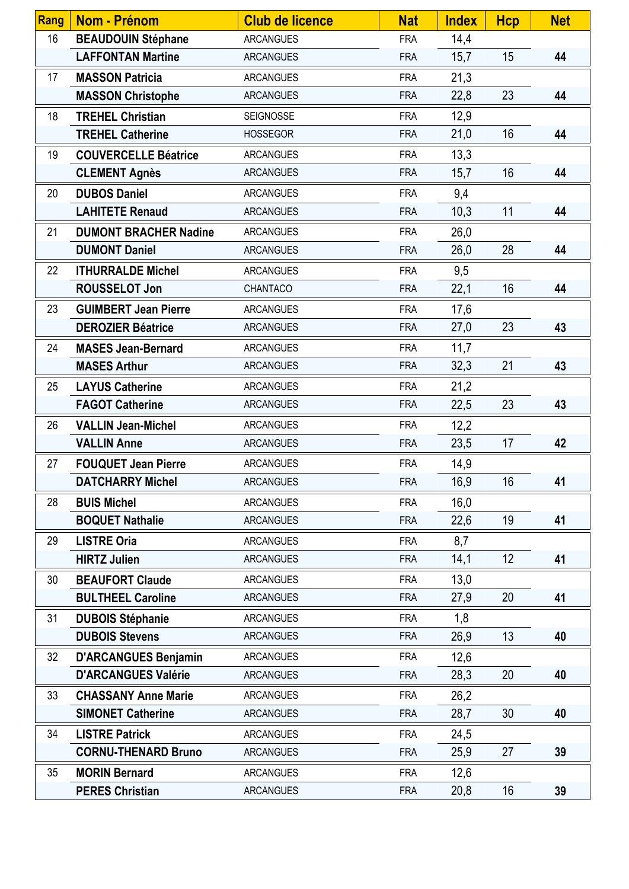| <b>Rang</b> | Nom - Prénom                 | <b>Club de licence</b> | <b>Nat</b> | <b>Index</b> | <b>Hcp</b>      | <b>Net</b> |
|-------------|------------------------------|------------------------|------------|--------------|-----------------|------------|
| 16          | <b>BEAUDOUIN Stéphane</b>    | <b>ARCANGUES</b>       | <b>FRA</b> | 14,4         |                 |            |
|             | <b>LAFFONTAN Martine</b>     | <b>ARCANGUES</b>       | <b>FRA</b> | 15,7         | 15              | 44         |
| 17          | <b>MASSON Patricia</b>       | <b>ARCANGUES</b>       | <b>FRA</b> | 21,3         |                 |            |
|             | <b>MASSON Christophe</b>     | <b>ARCANGUES</b>       | <b>FRA</b> | 22,8         | 23              | 44         |
| 18          | <b>TREHEL Christian</b>      | <b>SEIGNOSSE</b>       | <b>FRA</b> | 12,9         |                 |            |
|             | <b>TREHEL Catherine</b>      | <b>HOSSEGOR</b>        | <b>FRA</b> | 21,0         | 16              | 44         |
| 19          | <b>COUVERCELLE Béatrice</b>  | <b>ARCANGUES</b>       | <b>FRA</b> | 13,3         |                 |            |
|             | <b>CLEMENT Agnès</b>         | <b>ARCANGUES</b>       | <b>FRA</b> | 15,7         | 16              | 44         |
| 20          | <b>DUBOS Daniel</b>          | <b>ARCANGUES</b>       | <b>FRA</b> | 9,4          |                 |            |
|             | <b>LAHITETE Renaud</b>       | <b>ARCANGUES</b>       | <b>FRA</b> | 10,3         | 11              | 44         |
| 21          | <b>DUMONT BRACHER Nadine</b> | <b>ARCANGUES</b>       | <b>FRA</b> | 26,0         |                 |            |
|             | <b>DUMONT Daniel</b>         | <b>ARCANGUES</b>       | <b>FRA</b> | 26,0         | 28              | 44         |
| 22          | <b>ITHURRALDE Michel</b>     | <b>ARCANGUES</b>       | <b>FRA</b> | 9,5          |                 |            |
|             | <b>ROUSSELOT Jon</b>         | CHANTACO               | <b>FRA</b> | 22,1         | 16              | 44         |
| 23          | <b>GUIMBERT Jean Pierre</b>  | <b>ARCANGUES</b>       | <b>FRA</b> | 17,6         |                 |            |
|             | <b>DEROZIER Béatrice</b>     | <b>ARCANGUES</b>       | <b>FRA</b> | 27,0         | 23              | 43         |
| 24          | <b>MASES Jean-Bernard</b>    | <b>ARCANGUES</b>       | <b>FRA</b> | 11,7         |                 |            |
|             | <b>MASES Arthur</b>          | <b>ARCANGUES</b>       | <b>FRA</b> | 32,3         | 21              | 43         |
| 25          | <b>LAYUS Catherine</b>       | <b>ARCANGUES</b>       | <b>FRA</b> | 21,2         |                 |            |
|             | <b>FAGOT Catherine</b>       | <b>ARCANGUES</b>       | <b>FRA</b> | 22,5         | 23              | 43         |
| 26          | <b>VALLIN Jean-Michel</b>    | <b>ARCANGUES</b>       | <b>FRA</b> | 12,2         |                 |            |
|             | <b>VALLIN Anne</b>           | <b>ARCANGUES</b>       | <b>FRA</b> | 23,5         | 17              | 42         |
| 27          | <b>FOUQUET Jean Pierre</b>   | <b>ARCANGUES</b>       | <b>FRA</b> | 14,9         |                 |            |
|             | <b>DATCHARRY Michel</b>      | <b>ARCANGUES</b>       | <b>FRA</b> | 16,9         | 16              | 41         |
| 28          | <b>BUIS Michel</b>           | <b>ARCANGUES</b>       | <b>FRA</b> | 16,0         |                 |            |
|             | <b>BOQUET Nathalie</b>       | <b>ARCANGUES</b>       | <b>FRA</b> | 22,6         | 19              | 41         |
| 29          | <b>LISTRE Oria</b>           | <b>ARCANGUES</b>       | <b>FRA</b> | 8,7          |                 |            |
|             | <b>HIRTZ Julien</b>          | <b>ARCANGUES</b>       | <b>FRA</b> | 14,1         | 12              | 41         |
| 30          | <b>BEAUFORT Claude</b>       | <b>ARCANGUES</b>       | <b>FRA</b> | 13,0         |                 |            |
|             | <b>BULTHEEL Caroline</b>     | <b>ARCANGUES</b>       | <b>FRA</b> | 27,9         | 20              | 41         |
| 31          | <b>DUBOIS Stéphanie</b>      | <b>ARCANGUES</b>       | <b>FRA</b> | 1,8          |                 |            |
|             | <b>DUBOIS Stevens</b>        | <b>ARCANGUES</b>       | <b>FRA</b> | 26,9         | 13              | 40         |
| 32          | <b>D'ARCANGUES Benjamin</b>  | <b>ARCANGUES</b>       | <b>FRA</b> | 12,6         |                 |            |
|             | <b>D'ARCANGUES Valérie</b>   | <b>ARCANGUES</b>       | <b>FRA</b> | 28,3         | 20              | 40         |
| 33          | <b>CHASSANY Anne Marie</b>   | <b>ARCANGUES</b>       | <b>FRA</b> | 26,2         |                 |            |
|             | <b>SIMONET Catherine</b>     | <b>ARCANGUES</b>       | <b>FRA</b> | 28,7         | 30 <sup>°</sup> | 40         |
| 34          | <b>LISTRE Patrick</b>        | <b>ARCANGUES</b>       | <b>FRA</b> | 24,5         |                 |            |
|             | <b>CORNU-THENARD Bruno</b>   | <b>ARCANGUES</b>       | <b>FRA</b> | 25,9         | 27              | 39         |
| 35          | <b>MORIN Bernard</b>         | <b>ARCANGUES</b>       | <b>FRA</b> | 12,6         |                 |            |
|             | <b>PERES Christian</b>       | <b>ARCANGUES</b>       | <b>FRA</b> | 20,8         | 16              | 39         |